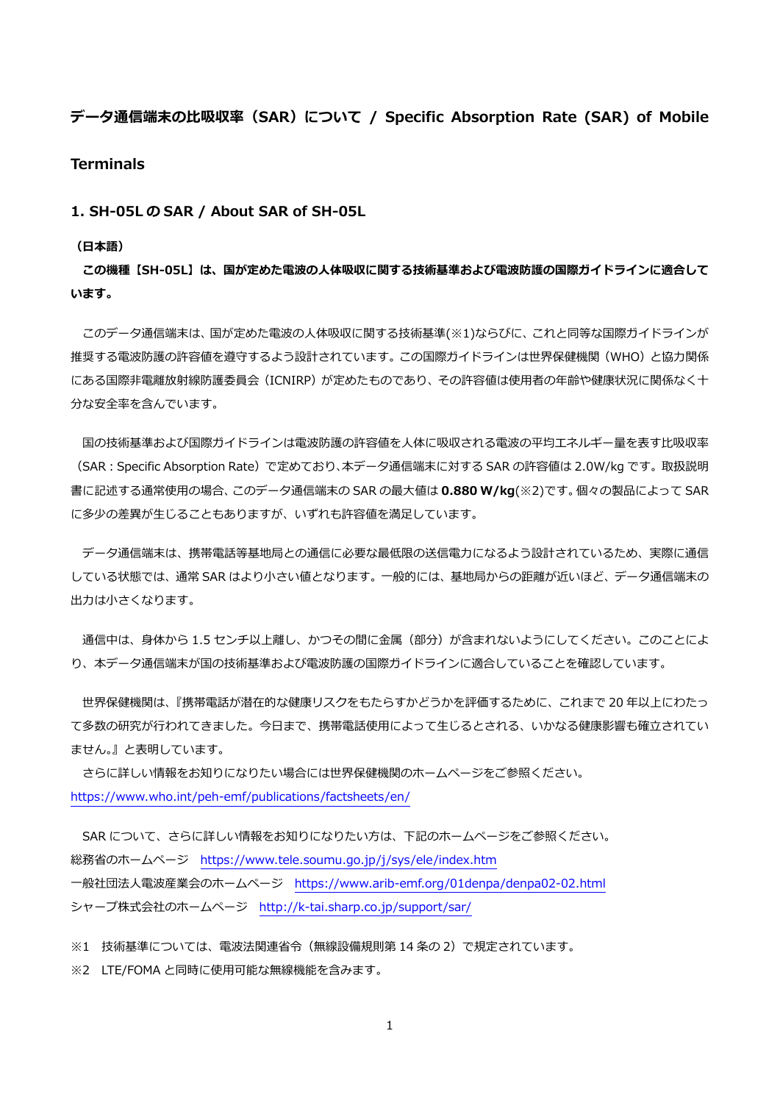# **データ通信端末の⽐吸収率(SAR)について / Specific Absorption Rate (SAR) of Mobile Terminals**

**1. SH-05L の SAR / About SAR of SH-05L** 

#### **(⽇本語)**

**この機種【SH-05L】は、国が定めた電波の⼈体吸収に関する技術基準および電波防護の国際ガイドラインに適合して います。** 

 このデータ通信端末は、国が定めた電波の⼈体吸収に関する技術基準(※1)ならびに、これと同等な国際ガイドラインが 推奨する電波防護の許容値を遵守するよう設計されています。この国際ガイドラインは世界保健機関(WHO)と協力関係 にある国際非電離放射線防護委員会(ICNIRP)が定めたものであり、その許容値は使用者の年齢や健康状況に関係なく十 分な安全率を含んでいます。

国の技術基準および国際ガイドラインは電波防護の許容値を人体に吸収される電波の平均エネルギー量を表す比吸収率 (SAR︓Specific Absorption Rate)で定めており、本データ通信端末に対する SAR の許容値は 2.0W/kg です。取扱説明 書に記述する通常使⽤の場合、このデータ通信端末の SAR の最⼤値は **0.880 W/kg**(※2)です。個々の製品によって SAR に多少の差異が生じることもありますが、いずれも許容値を満足しています。

 データ通信端末は、携帯電話等基地局との通信に必要な最低限の送信電⼒になるよう設計されているため、実際に通信 している状態では、通常 SAR はより⼩さい値となります。⼀般的には、基地局からの距離が近いほど、データ通信端末の 出力は小さくなります。

通信中は、身体から 1.5 センチ以上離し、かつその間に金属 (部分) が含まれないようにしてください。このことによ り、本データ通信端末が国の技術基準および電波防護の国際ガイドラインに適合していることを確認しています。

 世界保健機関は、『携帯電話が潜在的な健康リスクをもたらすかどうかを評価するために、これまで 20 年以上にわたっ て多数の研究が行われてきました。今日まで、携帯電話使用によって生じるとされる、いかなる健康影響も確立されてい ません。』と表明しています。

 さらに詳しい情報をお知りになりたい場合には世界保健機関のホームページをご参照ください。 https://www.who.int/peh-emf/publications/factsheets/en/

SAR について、さらに詳しい情報をお知りになりたい方は、下記のホームページをご参照ください。 総務省のホームページ https://www.tele.soumu.go.jp/j/sys/ele/index.htm ⼀般社団法⼈電波産業会のホームページ https://www.arib-emf.org/01denpa/denpa02-02.html シャープ株式会社のホームページ http://k-tai.sharp.co.jp/support/sar/

※1 技術基準については、電波法関連省令(無線設備規則第 14 条の 2)で規定されています。

※2 LTE/FOMA と同時に使用可能な無線機能を含みます。

1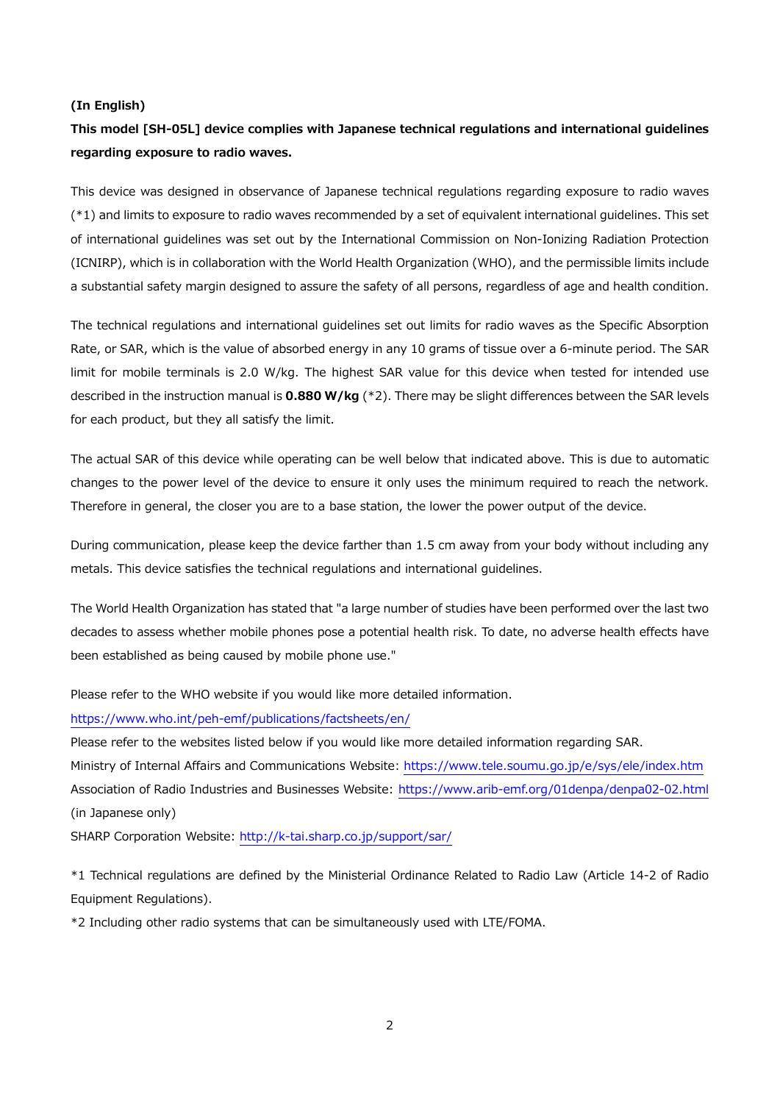#### **(In English)**

# **This model [SH-05L] device complies with Japanese technical regulations and international guidelines regarding exposure to radio waves.**

This device was designed in observance of Japanese technical regulations regarding exposure to radio waves (\*1) and limits to exposure to radio waves recommended by a set of equivalent international guidelines. This set of international guidelines was set out by the International Commission on Non-Ionizing Radiation Protection (ICNIRP), which is in collaboration with the World Health Organization (WHO), and the permissible limits include a substantial safety margin designed to assure the safety of all persons, regardless of age and health condition.

The technical regulations and international guidelines set out limits for radio waves as the Specific Absorption Rate, or SAR, which is the value of absorbed energy in any 10 grams of tissue over a 6-minute period. The SAR limit for mobile terminals is 2.0 W/kg. The highest SAR value for this device when tested for intended use described in the instruction manual is **0.880 W/kg** (\*2). There may be slight differences between the SAR levels for each product, but they all satisfy the limit.

The actual SAR of this device while operating can be well below that indicated above. This is due to automatic changes to the power level of the device to ensure it only uses the minimum required to reach the network. Therefore in general, the closer you are to a base station, the lower the power output of the device.

During communication, please keep the device farther than 1.5 cm away from your body without including any metals. This device satisfies the technical regulations and international guidelines.

The World Health Organization has stated that "a large number of studies have been performed over the last two decades to assess whether mobile phones pose a potential health risk. To date, no adverse health effects have been established as being caused by mobile phone use."

Please refer to the WHO website if you would like more detailed information.

#### https://www.who.int/peh-emf/publications/factsheets/en/

Please refer to the websites listed below if you would like more detailed information regarding SAR.

Ministry of Internal Affairs and Communications Website: https://www.tele.soumu.go.jp/e/sys/ele/index.htm Association of Radio Industries and Businesses Website: https://www.arib-emf.org/01denpa/denpa02-02.html (in Japanese only)

SHARP Corporation Website: http://k-tai.sharp.co.jp/support/sar/

\*1 Technical regulations are defined by the Ministerial Ordinance Related to Radio Law (Article 14-2 of Radio Equipment Regulations).

\*2 Including other radio systems that can be simultaneously used with LTE/FOMA.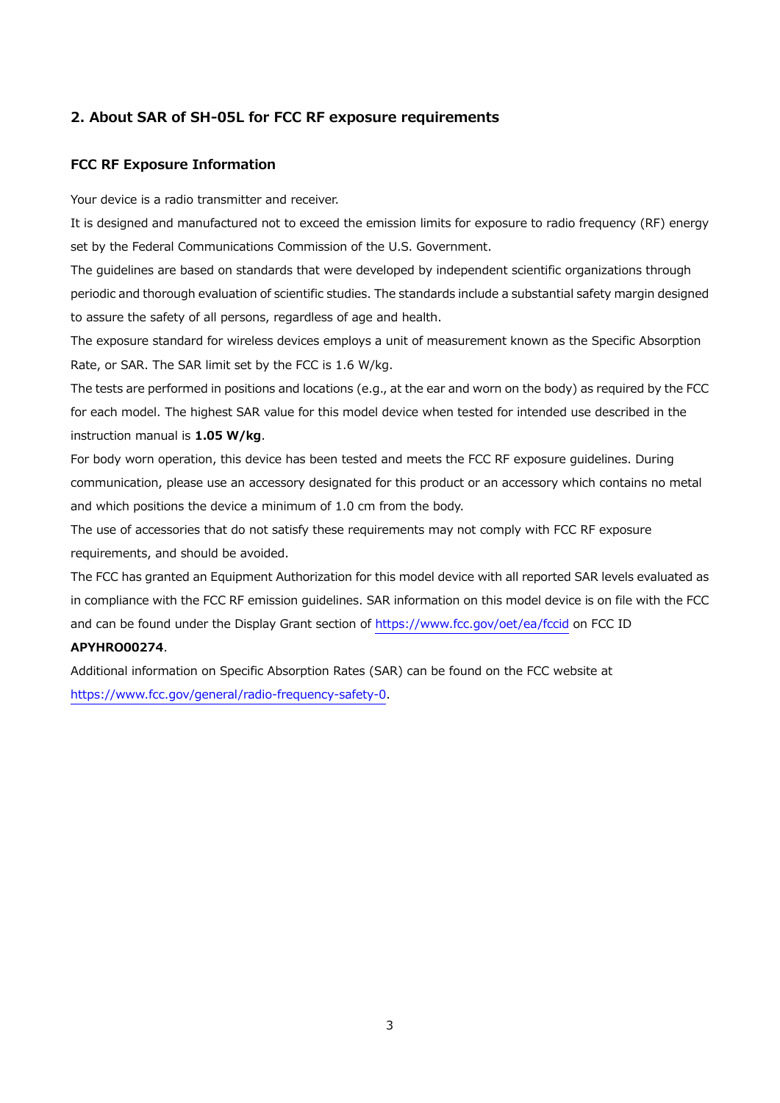# **2. About SAR of SH-05L for FCC RF exposure requirements**

### **FCC RF Exposure Information**

Your device is a radio transmitter and receiver.

It is designed and manufactured not to exceed the emission limits for exposure to radio frequency (RF) energy set by the Federal Communications Commission of the U.S. Government.

The guidelines are based on standards that were developed by independent scientific organizations through periodic and thorough evaluation of scientific studies. The standards include a substantial safety margin designed to assure the safety of all persons, regardless of age and health.

The exposure standard for wireless devices employs a unit of measurement known as the Specific Absorption Rate, or SAR. The SAR limit set by the FCC is 1.6 W/kg.

The tests are performed in positions and locations (e.g., at the ear and worn on the body) as required by the FCC for each model. The highest SAR value for this model device when tested for intended use described in the instruction manual is **1.05 W/kg**.

For body worn operation, this device has been tested and meets the FCC RF exposure guidelines. During communication, please use an accessory designated for this product or an accessory which contains no metal and which positions the device a minimum of 1.0 cm from the body.

The use of accessories that do not satisfy these requirements may not comply with FCC RF exposure requirements, and should be avoided.

The FCC has granted an Equipment Authorization for this model device with all reported SAR levels evaluated as in compliance with the FCC RF emission guidelines. SAR information on this model device is on file with the FCC and can be found under the Display Grant section of https://www.fcc.gov/oet/ea/fccid on FCC ID

## **APYHRO00274**.

Additional information on Specific Absorption Rates (SAR) can be found on the FCC website at https://www.fcc.gov/general/radio-frequency-safety-0.